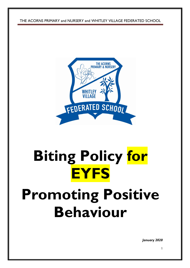THE ACORNS PRIMARY and NURSERY and WHITLEY VILLAGE FEDERATED SCHOOL



# **Biting Policy for EYFS**

# **Promoting Positive Behaviour**

*January 2020*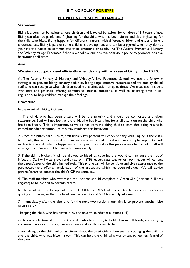# **BITING POLICY FOR EYFS**

## **PROMOTING POSITIVE BEHAVIOUR**

### **Statement**

Biting is a common behaviour among children and is typical behaviour for children of 2-3 years of age. Biting can often be painful and frightening for the child, who has been bitten, and also frightening for the child who bites. Biting happens for different reasons, with different children and under different circumstances. Biting is part of some children's development and can be triggered when they do not yet have the words to communicate their emotions or needs. At The Acorns Primary & Nursery and Whitley Village Federated Schools we follow our positive behaviour policy to promote positive behaviour at all times.

### **Aim**

### **We aim to act quickly and efficiently when dealing with any case of biting in the EYFS.**

At The Acorns Primary & Nursery and Whitley Village Federated School, we use the following strategies to prevent biting: sensory activities, biting rings, effective resources and we employ skilled staff who can recognise when children need more stimulation or quiet times. We treat each incident with care and patience, offering comfort to intense emotions, as well as investing time in coregulation, to help children manage their feelings.

### **Procedure**

In the event of a biting incident:

1. The child, who has been bitten, will be the priority and should be comforted and given reassurance. Staff will not look at the child, who has bitten, but focus all attention on the child who has been bitten. This is important, as we do not want the biting child to learn that biting results in immediate adult attention - as this may reinforce this behaviour.

2. Once the bitten child is calm, staff (ideally key person) will check for any visual injury. If there is a bite mark, this will be washed with warm soapy water and wiped with an antiseptic wipe. Staff will explain to the child what is happening and support the child as this process may be painful. Staff will wear gloves. Parents will be contacted immediately.

3. If the skin is broken, it will be allowed to bleed, as covering the wound can increase the risk of infection. Staff will wear gloves and an apron. EYFS leader, class teacher or room leader will contact the parent/carer of the child immediately. This phone call will be sensitive and give reassurance to the parent/carer and offer an explanation of the procedure which has been followed. We will advise parents/carers to contact the child's GP the same day.

4. The staff member who witnessed the incident should complete a Green Slip (Incident & Illness register) to be handed to parents/carers.

6. The incident must be uploaded onto CPOMs by EYFS leader, class teacher or room leader as quickly as possible, so that the head teacher, deputy and SFLOs are fully informed.

7. Immediately after the bite, and for the next two sessions, our aim is to prevent another bite occurring by:

- keeping the child, who has bitten, busy and next to an adult at all times (1:1)

- offering a selection of items for the child, who has bitten, to hold. Having full hands, and carrying and using sensory resources, can sometimes reduce the desire to bite

- not talking to the child, who has bitten, about the bite/incident; however, encouraging the child to give the child, who was bitten, a toy. This can help the child, who was bitten, to feel less fearful of the biter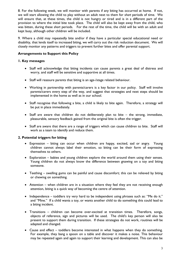8. For the following week, we will monitor with parents if any biting has occurred at home. If not, we will start allowing the child to play without an adult next to them for *short* periods of time. We will ensure that, at these times, the child is not hungry or tired and is in a different part of the provision to where the initial bite took place. The child will also be kept away from the child, who was bitten, during these *short* periods. For the rest of the time, the child will be with an adult and kept busy, although other children will be included.

9. Where a child may repeatedly bite and/or if they have a particular special educational need or disability, that lends itself to increased biting, we will carry out the risk reduction document. We will closely monitor any patterns and triggers to prevent further bites and offer parental support.

# **Arrangements to Support this Policy**

### **1. Key messages**

- Staff will acknowledge that biting incidents can cause parents a great deal of distress and worry, and staff will be sensitive and supportive at all times.
- Staff will reassure parents that biting is an age-/stage related behaviour.
- Working in partnership with parents/carers is a key factor in our policy. Staff will involve parents/carers every step of the way, and suggest that strategies and next steps should be implemented in the home as well as in our school.
- Staff recognise that following a bite, a child is likely to bite again. Therefore, a strategy will be put in place immediately.
- $\bullet$  Staff are aware that children do not deliberately plan to bite the strong, immediate, pleasurable, sensory feedback gained from the original bite is often the trigger.
- Staff are aware that there are a range of triggers which can cause children to bite. Staff will work as a team to identify and reduce them.

### **2. Potential triggers for biting**

- Expression biting can occur when children are happy, excited, sad or angry. Young children cannot always label their emotion, so biting can be their form of expressing themselves to others.
- Exploration babies and young children explore the world around them using their senses. Young children do not always know the difference between gnawing on a toy and biting someone.
- Teething swelling gums can be painful and cause discomfort; this can be relieved by biting or chewing on something.
- Attention when children are in a situation where they feel they are not receiving enough attention, biting is a quick way of becoming the centre of attention.
- Independence toddlers try very hard to be independent using phrases such as: "Me do it." and "Mine." If a child wants a toy, or wants another child to do something this could lead to a biting incident.
- Transitions children can become over-excited at transition times. Therefore, songs, objects of reference, sign and pictures will be used. The child's key person will also be present to support them during transition. If these strategies do not work, routines will be adapted and changed.
- Cause and effect toddlers become interested in what happens when they do something. For example, they bang a spoon on a table and discover it makes a noise. This behaviour may be repeated again and again to support their learning and development. This can also be